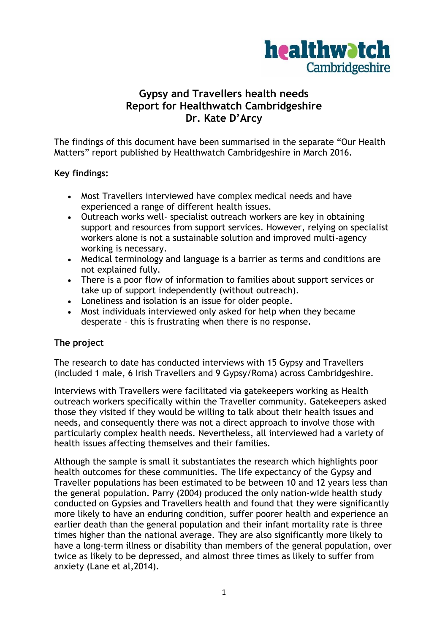

# **Gypsy and Travellers health needs Report for Healthwatch Cambridgeshire Dr. Kate D'Arcy**

The findings of this document have been summarised in the separate "Our Health Matters" report published by Healthwatch Cambridgeshire in March 2016.

### **Key findings:**

- Most Travellers interviewed have complex medical needs and have experienced a range of different health issues.
- Outreach works well- specialist outreach workers are key in obtaining support and resources from support services. However, relying on specialist workers alone is not a sustainable solution and improved multi-agency working is necessary.
- Medical terminology and language is a barrier as terms and conditions are not explained fully.
- There is a poor flow of information to families about support services or take up of support independently (without outreach).
- Loneliness and isolation is an issue for older people.
- Most individuals interviewed only asked for help when they became desperate – this is frustrating when there is no response.

## **The project**

The research to date has conducted interviews with 15 Gypsy and Travellers (included 1 male, 6 Irish Travellers and 9 Gypsy/Roma) across Cambridgeshire.

Interviews with Travellers were facilitated via gatekeepers working as Health outreach workers specifically within the Traveller community. Gatekeepers asked those they visited if they would be willing to talk about their health issues and needs, and consequently there was not a direct approach to involve those with particularly complex health needs. Nevertheless, all interviewed had a variety of health issues affecting themselves and their families.

Although the sample is small it substantiates the research which highlights poor health outcomes for these communities. The life expectancy of the Gypsy and Traveller populations has been estimated to be between 10 and 12 years less than the general population. Parry (2004) produced the only nation-wide health study conducted on Gypsies and Travellers health and found that they were significantly more likely to have an enduring condition, suffer poorer health and experience an earlier death than the general population and their infant mortality rate is three times higher than the national average. They are also significantly more likely to have a long-term illness or disability than members of the general population, over twice as likely to be depressed, and almost three times as likely to suffer from anxiety (Lane et al,2014).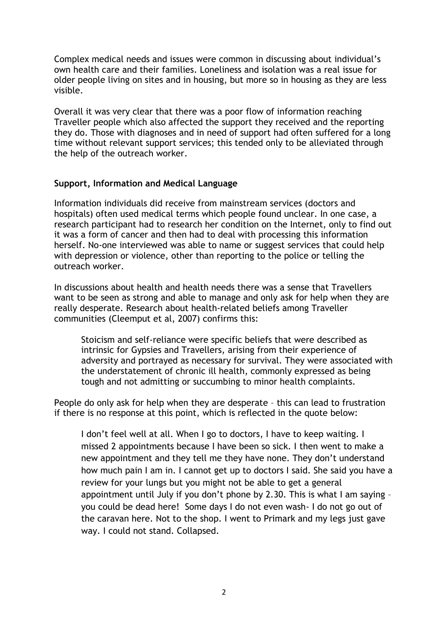Complex medical needs and issues were common in discussing about individual's own health care and their families. Loneliness and isolation was a real issue for older people living on sites and in housing, but more so in housing as they are less visible.

Overall it was very clear that there was a poor flow of information reaching Traveller people which also affected the support they received and the reporting they do. Those with diagnoses and in need of support had often suffered for a long time without relevant support services; this tended only to be alleviated through the help of the outreach worker.

### **Support, Information and Medical Language**

Information individuals did receive from mainstream services (doctors and hospitals) often used medical terms which people found unclear. In one case, a research participant had to research her condition on the Internet, only to find out it was a form of cancer and then had to deal with processing this information herself. No-one interviewed was able to name or suggest services that could help with depression or violence, other than reporting to the police or telling the outreach worker.

In discussions about health and health needs there was a sense that Travellers want to be seen as strong and able to manage and only ask for help when they are really desperate. Research about health-related beliefs among Traveller communities (Cleemput et al, 2007) confirms this:

Stoicism and self-reliance were specific beliefs that were described as intrinsic for Gypsies and Travellers, arising from their experience of adversity and portrayed as necessary for survival. They were associated with the understatement of chronic ill health, commonly expressed as being tough and not admitting or succumbing to minor health complaints.

People do only ask for help when they are desperate – this can lead to frustration if there is no response at this point, which is reflected in the quote below:

I don't feel well at all. When I go to doctors, I have to keep waiting. I missed 2 appointments because I have been so sick. I then went to make a new appointment and they tell me they have none. They don't understand how much pain I am in. I cannot get up to doctors I said. She said you have a review for your lungs but you might not be able to get a general appointment until July if you don't phone by 2.30. This is what I am saying – you could be dead here! Some days I do not even wash- I do not go out of the caravan here. Not to the shop. I went to Primark and my legs just gave way. I could not stand. Collapsed.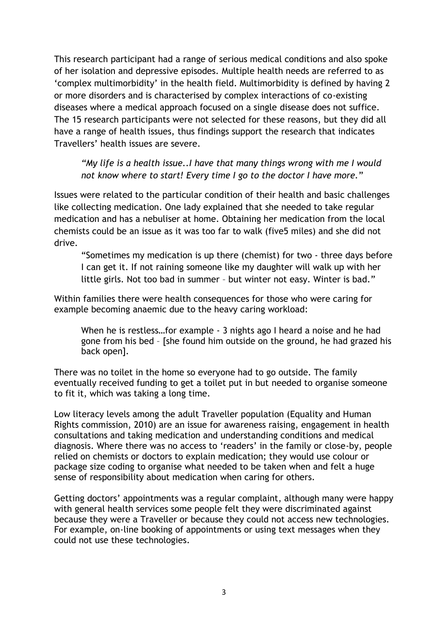This research participant had a range of serious medical conditions and also spoke of her isolation and depressive episodes. Multiple health needs are referred to as 'complex multimorbidity' in the health field. Multimorbidity is defined by having 2 or more disorders and is characterised by complex interactions of co-existing diseases where a medical approach focused on a single disease does not suffice. The 15 research participants were not selected for these reasons, but they did all have a range of health issues, thus findings support the research that indicates Travellers' health issues are severe.

*"My life is a health issue..I have that many things wrong with me I would not know where to start! Every time I go to the doctor I have more.*"

Issues were related to the particular condition of their health and basic challenges like collecting medication. One lady explained that she needed to take regular medication and has a nebuliser at home. Obtaining her medication from the local chemists could be an issue as it was too far to walk (five5 miles) and she did not drive.

"Sometimes my medication is up there (chemist) for two - three days before I can get it. If not raining someone like my daughter will walk up with her little girls. Not too bad in summer – but winter not easy. Winter is bad."

Within families there were health consequences for those who were caring for example becoming anaemic due to the heavy caring workload:

When he is restless…for example - 3 nights ago I heard a noise and he had gone from his bed – [she found him outside on the ground, he had grazed his back open].

There was no toilet in the home so everyone had to go outside. The family eventually received funding to get a toilet put in but needed to organise someone to fit it, which was taking a long time.

Low literacy levels among the adult Traveller population (Equality and Human Rights commission, 2010) are an issue for awareness raising, engagement in health consultations and taking medication and understanding conditions and medical diagnosis. Where there was no access to 'readers' in the family or close-by, people relied on chemists or doctors to explain medication; they would use colour or package size coding to organise what needed to be taken when and felt a huge sense of responsibility about medication when caring for others.

Getting doctors' appointments was a regular complaint, although many were happy with general health services some people felt they were discriminated against because they were a Traveller or because they could not access new technologies. For example, on-line booking of appointments or using text messages when they could not use these technologies.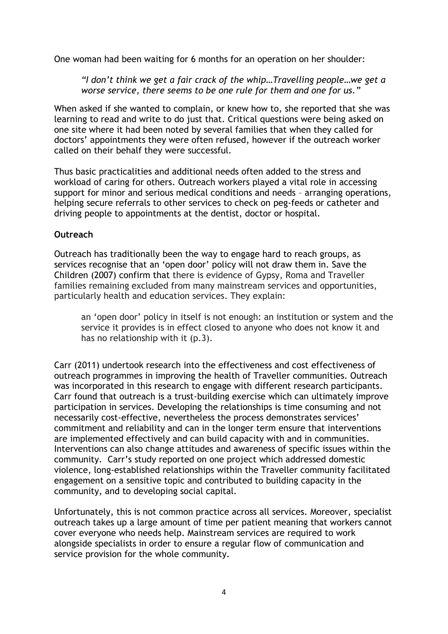One woman had been waiting for 6 months for an operation on her shoulder:

*"I don't think we get a fair crack of the whip…Travelling people…we get a worse service, there seems to be one rule for them and one for us."*

When asked if she wanted to complain, or knew how to, she reported that she was learning to read and write to do just that. Critical questions were being asked on one site where it had been noted by several families that when they called for doctors' appointments they were often refused, however if the outreach worker called on their behalf they were successful.

Thus basic practicalities and additional needs often added to the stress and workload of caring for others. Outreach workers played a vital role in accessing support for minor and serious medical conditions and needs – arranging operations, helping secure referrals to other services to check on peg-feeds or catheter and driving people to appointments at the dentist, doctor or hospital.

### **Outreach**

Outreach has traditionally been the way to engage hard to reach groups, as services recognise that an 'open door' policy will not draw them in. Save the Children (2007) confirm that there is evidence of Gypsy, Roma and Traveller families remaining excluded from many mainstream services and opportunities, particularly health and education services. They explain:

an 'open door' policy in itself is not enough: an institution or system and the service it provides is in effect closed to anyone who does not know it and has no relationship with it (p.3).

Carr (2011) undertook research into the effectiveness and cost effectiveness of outreach programmes in improving the health of Traveller communities. Outreach was incorporated in this research to engage with different research participants. Carr found that outreach is a trust-building exercise which can ultimately improve participation in services. Developing the relationships is time consuming and not necessarily cost-effective, nevertheless the process demonstrates services' commitment and reliability and can in the longer term ensure that interventions are implemented effectively and can build capacity with and in communities. Interventions can also change attitudes and awareness of specific issues within the community. Carr's study reported on one project which addressed domestic violence, long-established relationships within the Traveller community facilitated engagement on a sensitive topic and contributed to building capacity in the community, and to developing social capital.

Unfortunately, this is not common practice across all services. Moreover, specialist outreach takes up a large amount of time per patient meaning that workers cannot cover everyone who needs help. Mainstream services are required to work alongside specialists in order to ensure a regular flow of communication and service provision for the whole community.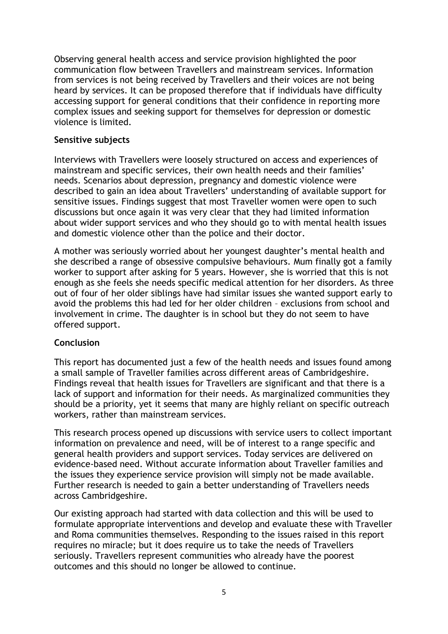Observing general health access and service provision highlighted the poor communication flow between Travellers and mainstream services. Information from services is not being received by Travellers and their voices are not being heard by services. It can be proposed therefore that if individuals have difficulty accessing support for general conditions that their confidence in reporting more complex issues and seeking support for themselves for depression or domestic violence is limited.

### **Sensitive subjects**

Interviews with Travellers were loosely structured on access and experiences of mainstream and specific services, their own health needs and their families' needs. Scenarios about depression, pregnancy and domestic violence were described to gain an idea about Travellers' understanding of available support for sensitive issues. Findings suggest that most Traveller women were open to such discussions but once again it was very clear that they had limited information about wider support services and who they should go to with mental health issues and domestic violence other than the police and their doctor.

A mother was seriously worried about her youngest daughter's mental health and she described a range of obsessive compulsive behaviours. Mum finally got a family worker to support after asking for 5 years. However, she is worried that this is not enough as she feels she needs specific medical attention for her disorders. As three out of four of her older siblings have had similar issues she wanted support early to avoid the problems this had led for her older children – exclusions from school and involvement in crime. The daughter is in school but they do not seem to have offered support.

## **Conclusion**

This report has documented just a few of the health needs and issues found among a small sample of Traveller families across different areas of Cambridgeshire. Findings reveal that health issues for Travellers are significant and that there is a lack of support and information for their needs. As marginalized communities they should be a priority, yet it seems that many are highly reliant on specific outreach workers, rather than mainstream services.

This research process opened up discussions with service users to collect important information on prevalence and need, will be of interest to a range specific and general health providers and support services. Today services are delivered on evidence-based need. Without accurate information about Traveller families and the issues they experience service provision will simply not be made available. Further research is needed to gain a better understanding of Travellers needs across Cambridgeshire.

Our existing approach had started with data collection and this will be used to formulate appropriate interventions and develop and evaluate these with Traveller and Roma communities themselves. Responding to the issues raised in this report requires no miracle; but it does require us to take the needs of Travellers seriously. Travellers represent communities who already have the poorest outcomes and this should no longer be allowed to continue.